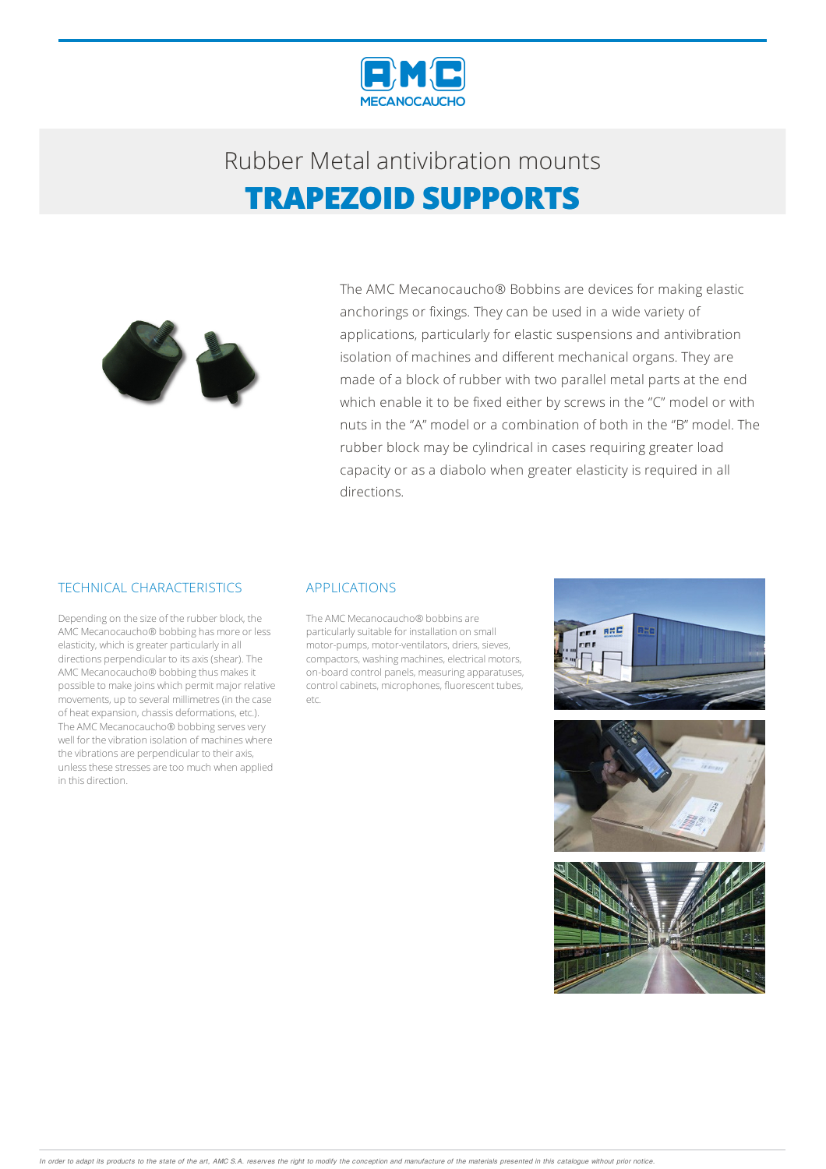

## Rubber Metalantivibration mounts **TRAPEZOID SUPPORTS**



The AMC Mecanocaucho® Bobbins are devices for making elastic anchorings or fixings. They can be used in a wide variety of applications, particularly for elastic suspensions and antivibration isolation of machines and different mechanical organs. They are made of a block of rubber with two parallel metal parts at the end which enable it to be fixed either by screws in the "C" model or with nuts in the ''A" model or a combination of both in the ''B" model. The rubber block may be cylindrical in cases requiring greater load capacity or as a diabolo when greater elasticity is required in all directions.

#### TECHNICAL CHARACTERISTICS

Depending on the size of the rubber block, the AMC Mecanocaucho® bobbing has more or less elasticity, which is greater particularly in all directions perpendicular to its axis (shear). The AMC Mecanocaucho® bobbing thus makes it possible to make joins which permit major relative movements, up to several millimetres(in the case of heat expansion, chassis deformations, etc.). The AMC Mecanocaucho® bobbing serves very well for the vibration isolation of machines where the vibrations are perpendicular to their axis, unless these stresses are too much when applied in this direction.

#### APPLICATIONS

The AMC Mecanocaucho® bobbins are particularly suitable for installation on small motor-pumps, motor-ventilators, driers, sieves, compactors, washing machines, electrical motors, on-board control panels, measuringapparatuses, control cabinets, microphones, fluorescent tubes, etc.





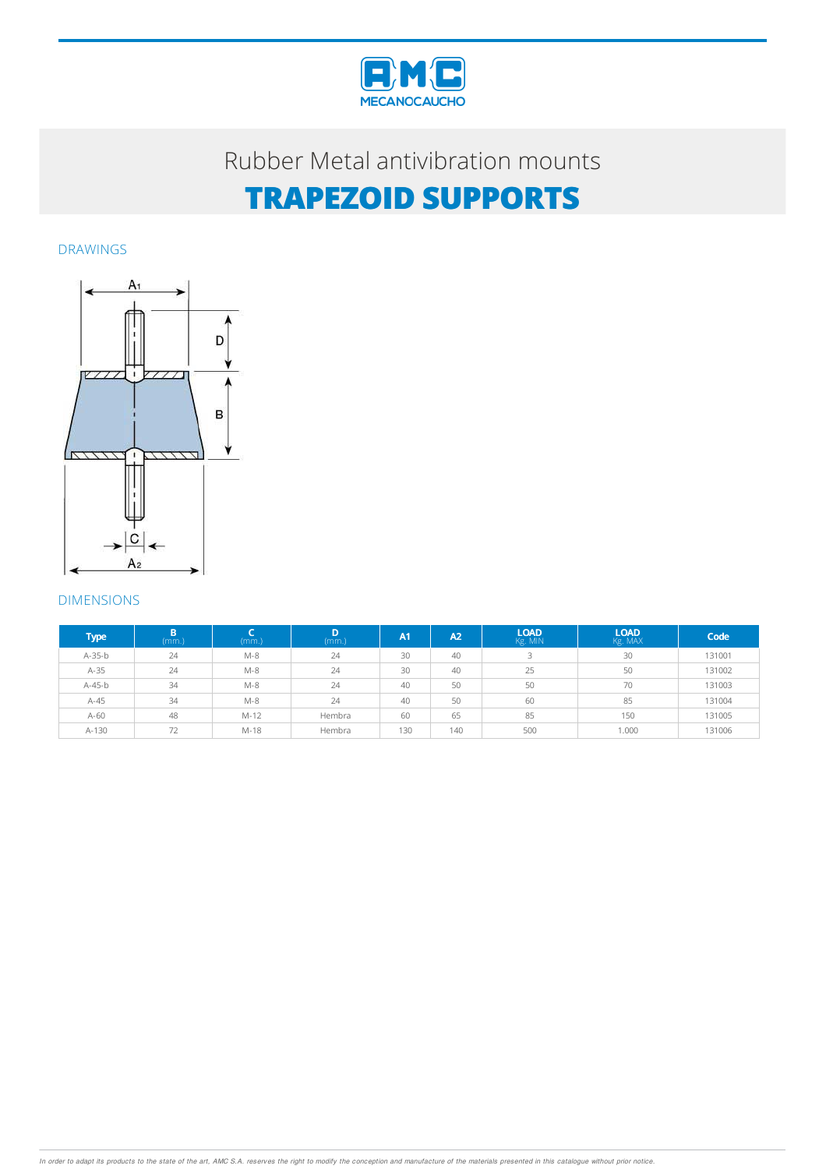

### Rubber Metal antivibration mounts

# **TRAPEZOID SUPPORTS**

DRAWINGS



### DIMENSIONS

| <b>Type</b> | B<br>(mm.) | (mm.)  | D<br>(mm.) | A <sub>1</sub> | A2  | <b>LOAD</b><br>Kg. MIN | <b>LOAD</b><br>Kg. MAX | Code   |
|-------------|------------|--------|------------|----------------|-----|------------------------|------------------------|--------|
| A-35-b      | 24         | $M-8$  | 24         | 30             | 40  | 3                      | 30                     | 131001 |
| $A-35$      | 24         | $M-8$  | 24         | 30             | 40  | 25                     | 50                     | 131002 |
| $A-45-b$    | 34         | $M-8$  | 24         | 40             | 50  | 50                     | 70                     | 131003 |
| $A-45$      | 34         | $M-8$  | 24         | 40             | 50  | 60                     | 85                     | 131004 |
| $A-60$      | 48         | $M-12$ | Hembra     | 60             | 65  | 85                     | 150                    | 131005 |
| A-130       | 72         | M-18   | Hembra     | 130            | 140 | 500                    | 1.000                  | 131006 |